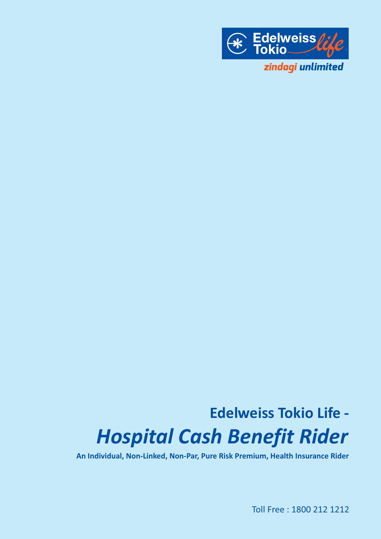

# **Edelweiss Tokio Life -** *Hospital Cash Benefit Rider*

**An Individual, Non-Linked, Non-Par, Pure Risk Premium, Health Insurance Rider**

Toll Free : 1800 212 1212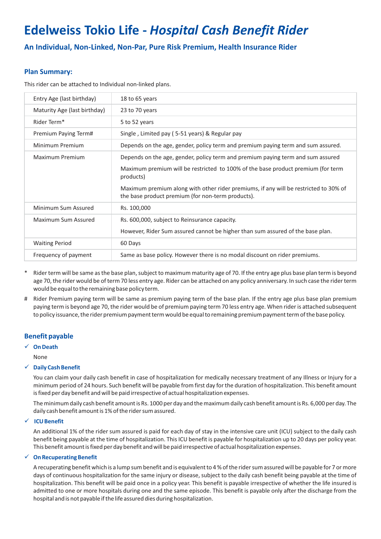# **Edelweiss Tokio Life -** *Hospital Cash Benefit Rider*

**An Individual, Non-Linked, Non-Par, Pure Risk Premium, Health Insurance Rider**

# **Plan Summary:**

This rider can be attached to Individual non-linked plans.

| Entry Age (last birthday)    | 18 to 65 years                                                                                                                            |
|------------------------------|-------------------------------------------------------------------------------------------------------------------------------------------|
| Maturity Age (last birthday) | 23 to 70 years                                                                                                                            |
| Rider Term*                  | 5 to 52 years                                                                                                                             |
| Premium Paying Term#         | Single, Limited pay (5-51 years) & Regular pay                                                                                            |
| Minimum Premium              | Depends on the age, gender, policy term and premium paying term and sum assured.                                                          |
| Maximum Premium              | Depends on the age, gender, policy term and premium paying term and sum assured                                                           |
|                              | Maximum premium will be restricted to 100% of the base product premium (for term<br>products)                                             |
|                              | Maximum premium along with other rider premiums, if any will be restricted to 30% of<br>the base product premium (for non-term products). |
| Minimum Sum Assured          | Rs. 100,000                                                                                                                               |
| Maximum Sum Assured          | Rs. 600,000, subject to Reinsurance capacity.                                                                                             |
|                              | However, Rider Sum assured cannot be higher than sum assured of the base plan.                                                            |
| <b>Waiting Period</b>        | 60 Days                                                                                                                                   |
| Frequency of payment         | Same as base policy. However there is no modal discount on rider premiums.                                                                |

- Rider term will be same as the base plan, subject to maximum maturity age of 70. If the entry age plus base plan term is beyond age 70, the rider would be of term 70 less entry age. Rider can be attached on any policy anniversary. In such case the rider term would be equal to the remaining base policy term.
- # Rider Premium paying term will be same as premium paying term of the base plan. If the entry age plus base plan premium paying term is beyond age 70, the rider would be of premium paying term 70 less entry age. When rider is attached subsequent to policy issuance, the rider premium payment term would be equal to remaining premium payment term of the base policy.

# **Benefit payable**

# ü **On Death**

None

#### ü **Daily Cash Benefit**

You can claim your daily cash benefit in case of hospitalization for medically necessary treatment of any Illness or Injury for a minimum period of 24 hours. Such benefit will be payable from first day for the duration of hospitalization. This benefit amount is fixed per day benefit and will be paid irrespective of actual hospitalization expenses.

The minimum daily cash benefit amount is Rs. 1000 per day and the maximum daily cash benefit amount is Rs. 6,000 per day. The daily cash benefit amount is 1% of the rider sum assured.

# ü **ICU Benefit**

An additional 1% of the rider sum assured is paid for each day of stay in the intensive care unit (ICU) subject to the daily cash benefit being payable at the time of hospitalization. This ICU benefit is payable for hospitalization up to 20 days per policy year. This benefit amount is fixed per day benefit and will be paid irrespective of actual hospitalization expenses.

#### ü **On Recuperating Benefit**

A recuperating benefit which is a lump sum benefit and is equivalent to 4 % of the rider sum assured will be payable for 7 or more days of continuous hospitalization for the same injury or disease, subject to the daily cash benefit being payable at the time of hospitalization. This benefit will be paid once in a policy year. This benefit is payable irrespective of whether the life insured is admitted to one or more hospitals during one and the same episode. This benefit is payable only after the discharge from the hospital and is not payable if the life assured dies during hospitalization.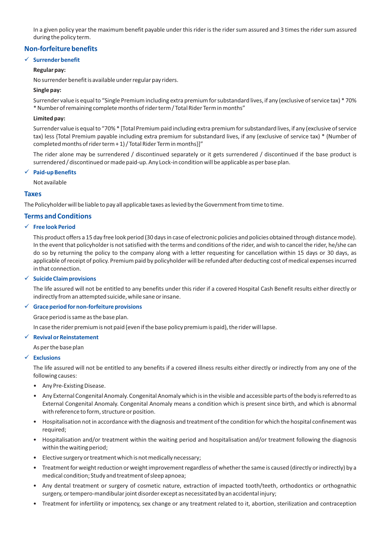In a given policy year the maximum benefit payable under this rider is the rider sum assured and 3 times the rider sum assured during the policy term.

# **Non-forfeiture benefits**

#### ü **Surrender benefit**

#### **Regular pay:**

No surrender benefit is available under regular pay riders.

#### **Single pay:**

Surrender value is equal to "Single Premium including extra premium for substandard lives, if any (exclusive of service tax) \* 70% \* Number of remaining complete months of rider term / Total Rider Term in months"

#### **Limited pay:**

Surrender value is equal to "70% \* [Total Premium paid including extra premium for substandard lives, if any (exclusive of service tax) less {Total Premium payable including extra premium for substandard lives, if any (exclusive of service tax) \* (Number of completed months of rider term + 1) / Total Rider Term in months}]"

The rider alone may be surrendered / discontinued separately or it gets surrendered / discontinued if the base product is surrendered / discontinued or made paid-up. Any Lock-in condition will be applicable as per base plan.

#### ü **Paid-up Benefits**

Not available

#### **Taxes**

The Policyholder will be liable to pay all applicable taxes as levied by the Government from time to time.

# **Terms and Conditions**

# ü **Free look Period**

This product offers a 15 day free look period (30 days in case of electronic policies and policies obtained through distance mode). In the event that policyholder is not satisfied with the terms and conditions of the rider, and wish to cancel the rider, he/she can do so by returning the policy to the company along with a letter requesting for cancellation within 15 days or 30 days, as applicable of receipt of policy. Premium paid by policyholder will be refunded after deducting cost of medical expenses incurred in that connection.

#### ü **Suicide Claim provisions**

The life assured will not be entitled to any benefits under this rider if a covered Hospital Cash Benefit results either directly or indirectly from an attempted suicide, while sane or insane.

#### ü **Grace period for non-forfeiture provisions**

Grace period is same as the base plan.

In case the rider premium is not paid (even if the base policy premium is paid), the rider will lapse.

#### ü **Revival or Reinstatement**

As per the base plan

#### ü **Exclusions**

The life assured will not be entitled to any benefits if a covered illness results either directly or indirectly from any one of the following causes:

- Any Pre-Existing Disease.
- Any External Congenital Anomaly. Congenital Anomaly which is in the visible and accessible parts of the body is referred to as External Congenital Anomaly. Congenital Anomaly means a condition which is present since birth, and which is abnormal with reference to form, structure or position.
- Hospitalisation not in accordance with the diagnosis and treatment of the condition for which the hospital confinement was required;
- Hospitalisation and/or treatment within the waiting period and hospitalisation and/or treatment following the diagnosis within the waiting period;
- Elective surgery or treatment which is not medically necessary;
- Treatment for weight reduction or weight improvement regardless of whether the same is caused (directly or indirectly) by a medical condition; Study and treatment of sleep apnoea;
- Any dental treatment or surgery of cosmetic nature, extraction of impacted tooth/teeth, orthodontics or orthognathic surgery, or tempero-mandibular joint disorder except as necessitated by an accidental injury;
- Treatment for infertility or impotency, sex change or any treatment related to it, abortion, sterilization and contraception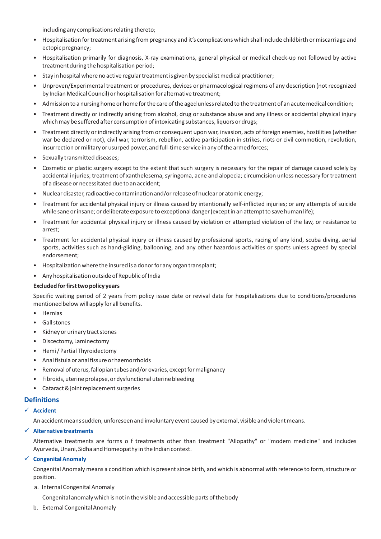including any complications relating thereto;

- Hospitalisation for treatment arising from pregnancy and it's complications which shall include childbirth or miscarriage and ectopic pregnancy;
- Hospitalisation primarily for diagnosis, X-ray examinations, general physical or medical check-up not followed by active treatment during the hospitalisation period;
- Stay in hospital where no active regular treatment is given by specialist medical practitioner;
- Unproven/Experimental treatment or procedures, devices or pharmacological regimens of any description (not recognized by Indian Medical Council) or hospitalisation for alternative treatment;
- Admission to a nursing home or home for the care of the aged unless related to the treatment of an acute medical condition;
- Treatment directly or indirectly arising from alcohol, drug or substance abuse and any illness or accidental physical injury which may be suffered after consumption of intoxicating substances, liquors or drugs;
- Treatment directly or indirectly arising from or consequent upon war, invasion, acts of foreign enemies, hostilities (whether war be declared or not), civil war, terrorism, rebellion, active participation in strikes, riots or civil commotion, revolution, insurrection or military or usurped power, and full-time service in any of the armed forces;
- Sexually transmitted diseases;
- Cosmetic or plastic surgery except to the extent that such surgery is necessary for the repair of damage caused solely by accidental injuries; treatment of xanthelesema, syringoma, acne and alopecia; circumcision unless necessary for treatment of a disease or necessitated due to an accident;
- Nuclear disaster, radioactive contamination and/or release of nuclear or atomic energy;
- Treatment for accidental physical injury or illness caused by intentionally self-inflicted injuries; or any attempts of suicide while sane or insane; or deliberate exposure to exceptional danger (except in an attempt to save human life);
- Treatment for accidental physical injury or illness caused by violation or attempted violation of the law, or resistance to arrest;
- Treatment for accidental physical injury or illness caused by professional sports, racing of any kind, scuba diving, aerial sports, activities such as hand-gliding, ballooning, and any other hazardous activities or sports unless agreed by special endorsement;
- Hospitalization where the insured is a donor for any organ transplant;
- Any hospitalisation outside of Republic of India

#### **Excluded for first two policy years**

Specific waiting period of 2 years from policy issue date or revival date for hospitalizations due to conditions/procedures mentioned below will apply for all benefits.

- Hernias
- Gall stones
- Kidney or urinary tract stones
- Discectomy, Laminectomy
- Hemi / Partial Thyroidectomy
- Anal fistula or anal fissure or haemorrhoids
- Removal of uterus, fallopian tubes and/or ovaries, except for malignancy
- Fibroids, uterine prolapse, or dysfunctional uterine bleeding
- Cataract & joint replacement surgeries

# **Definitions**

#### ü **Accident**

An accident means sudden, unforeseen and involuntary event caused by external, visible and violent means.

#### ü **Alternative treatments**

Alternative treatments are forms o f treatments other than treatment "Allopathy" or "modem medicine" and includes Ayurveda, Unani, Sidha and Homeopathy in the Indian context.

#### ü **Congenital Anomaly**

Congenital Anomaly means a condition which is present since birth, and which is abnormal with reference to form, structure or position.

#### a. Internal Congenital Anomaly

Congenital anomaly which is not in the visible and accessible parts of the body

b. External Congenital Anomaly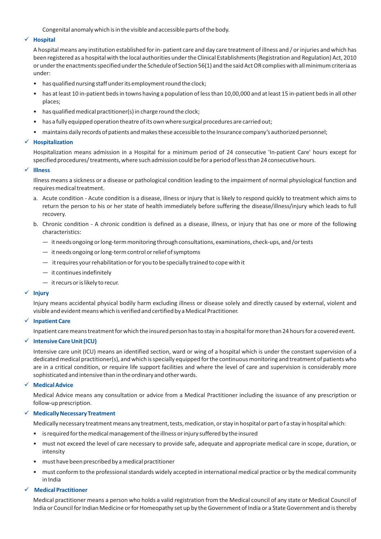Congenital anomaly which is in the visible and accessible parts of the body.

#### ü **Hospital**

A hospital means any institution established for in- patient care and day care treatment of illness and / or injuries and which has been registered as a hospital with the local authorities under the Clinical Establishments (Registration and Regulation) Act, 2010 or under the enactments specified under the Schedule of Section 56(1) and the said Act OR complies with all minimum criteria as under:

- has qualified nursing staff under its employment round the clock;
- has at least 10 in-patient beds in towns having a population of less than 10,00,000 and at least 15 in-patient beds in all other places;
- has qualified medical practitioner(s) in charge round the clock;
- has a fully equipped operation theatre of its own where surgical procedures are carried out;
- maintains daily records of patients and makes these accessible to the Insurance company's authorized personnel;

#### ü **Hospitalization**

Hospitalization means admission in a Hospital for a minimum period of 24 consecutive 'In-patient Care' hours except for specified procedures/ treatments, where such admission could be for a period of less than 24 consecutive hours.

#### ü **Illness**

Illness means a sickness or a disease or pathological condition leading to the impairment of normal physiological function and requires medical treatment.

- a. Acute condition Acute condition is a disease, illness or injury that is likely to respond quickly to treatment which aims to return the person to his or her state of health immediately before suffering the disease/illness/injury which leads to full recovery.
- b. Chronic condition A chronic condition is defined as a disease, illness, or injury that has one or more of the following characteristics:
	- it needs ongoing or long-term monitoring through consultations, examinations, check-ups, and /or tests
	- it needs ongoing or long-term control or relief of symptoms
	- it requires your rehabilitation or for you to be specially trained to cope with it
	- it continues indefinitely
	- it recurs or is likely to recur.

#### $\times$  Injury

Injury means accidental physical bodily harm excluding illness or disease solely and directly caused by external, violent and visible and evident means which is verified and certified by a Medical Practitioner.

#### ü **Inpatient Care**

Inpatient care means treatment for which the insured person has to stay in a hospital for more than 24 hours for a covered event.

#### ü **Intensive Care Unit (ICU)**

Intensive care unit (ICU) means an identified section, ward or wing of a hospital which is under the constant supervision of a dedicated medical practitioner(s), and which is specially equipped for the continuous monitoring and treatment of patients who are in a critical condition, or require life support facilities and where the level of care and supervision is considerably more sophisticated and intensive than in the ordinary and other wards.

#### ü **Medical Advice**

Medical Advice means any consultation or advice from a Medical Practitioner including the issuance of any prescription or follow-up prescription.

#### ü **Medically Necessary Treatment**

Medically necessary treatment means any treatment, tests, medication, or stay in hospital or part of a stay in hospital which:

- is required for the medical management of the illness or injury suffered by the insured
- must not exceed the level of care necessary to provide safe, adequate and appropriate medical care in scope, duration, or intensity
- must have been prescribed by a medical practitioner
- must conform to the professional standards widely accepted in international medical practice or by the medical community in India

#### ü **Medical Practitioner**

Medical practitioner means a person who holds a valid registration from the Medical council of any state or Medical Council of India or Council for Indian Medicine or for Homeopathy set up by the Government of India or a State Government and is thereby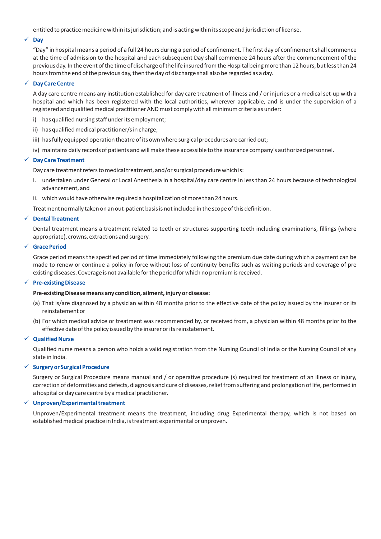entitled to practice medicine within its jurisdiction; and is acting within its scope and jurisdiction of license.

#### ü **Day**

"Day" in hospital means a period of a full 24 hours during a period of confinement. The first day of confinement shall commence at the time of admission to the hospital and each subsequent Day shall commence 24 hours after the commencement of the previous day. In the event of the time of discharge of the life insured from the Hospital being more than 12 hours, but less than 24 hours from the end of the previous day, then the day of discharge shall also be regarded as a day.

#### ü **Day Care Centre**

A day care centre means any institution established for day care treatment of illness and / or injuries or a medical set-up with a hospital and which has been registered with the local authorities, wherever applicable, and is under the supervision of a registered and qualified medical practitioner AND must comply with all minimum criteria as under:

- i) has qualified nursing staff under its employment;
- ii) has qualified medical practitioner/s in charge;
- iii) has fully equipped operation theatre of its own where surgical procedures are carried out;
- iv) maintains daily records of patients and will make these accessible to the insurance company's authorized personnel.

#### ü **Day Care Treatment**

Day care treatment refers to medical treatment, and/or surgical procedure which is:

- i. undertaken under General or Local Anesthesia in a hospital/day care centre in less than 24 hours because of technological advancement, and
- ii. which would have otherwise required a hospitalization of more than 24 hours.

Treatment normally taken on an out-patient basis is not included in the scope of this definition.

#### ü **Dental Treatment**

Dental treatment means a treatment related to teeth or structures supporting teeth including examinations, fillings (where appropriate), crowns, extractions and surgery.

#### ü **Grace Period**

Grace period means the specified period of time immediately following the premium due date during which a payment can be made to renew or continue a policy in force without loss of continuity benefits such as waiting periods and coverage of pre existing diseases. Coverage is not available for the period for which no premium is received.

#### ü **Pre-existing Disease**

#### **Pre-existing Disease means any condition, ailment, injury or disease:**

- (a) That is/are diagnosed by a physician within 48 months prior to the effective date of the policy issued by the insurer or its reinstatement or
- (b) For which medical advice or treatment was recommended by, or received from, a physician within 48 months prior to the effective date of the policy issued by the insurer or its reinstatement.

#### ü **Qualified Nurse**

Qualified nurse means a person who holds a valid registration from the Nursing Council of India or the Nursing Council of any state in India.

#### ü **Surgery or Surgical Procedure**

Surgery or Surgical Procedure means manual and / or operative procedure (s) required for treatment of an illness or injury, correction of deformities and defects, diagnosis and cure of diseases, relief from suffering and prolongation of life, performed in a hospital or day care centre by a medical practitioner.

#### ü **Unproven/Experimental treatment**

Unproven/Experimental treatment means the treatment, including drug Experimental therapy, which is not based on established medical practice in India, is treatment experimental or unproven.